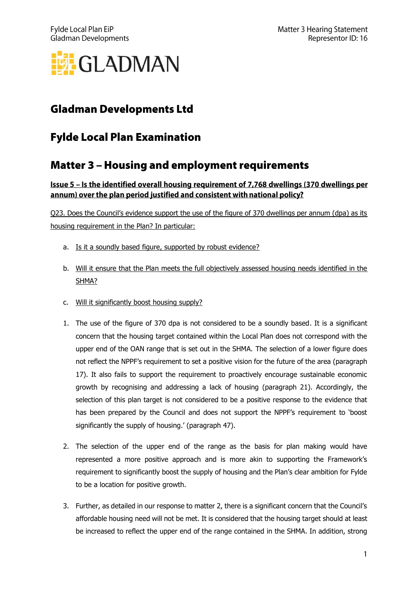

# **Gladman Developments Ltd**

## **Fylde Local Plan Examination**

### **Matter 3 - Housing and employment requirements**

### <u>Issue 5 - Is the identified overall housing requirement of 7,768 dwellings (370 dwellings per</u> annum) over the plan period justified and consistent with national policy?

Q23. Does the Council's evidence support the use of the figure of 370 dwellings per annum (dpa) as its housing requirement in the Plan? In particular:

- a. Is it a soundly based figure, supported by robust evidence?
- b. Will it ensure that the Plan meets the full objectively assessed housing needs identified in the SHMA?
- c. Will it significantly boost housing supply?
- 1. The use of the figure of 370 dpa is not considered to be a soundly based. It is a significant concern that the housing target contained within the Local Plan does not correspond with the upper end of the OAN range that is set out in the SHMA. The selection of a lower figure does not reflect the NPPF's requirement to set a positive vision for the future of the area (paragraph 17). It also fails to support the requirement to proactively encourage sustainable economic growth by recognising and addressing a lack of housing (paragraph 21). Accordingly, the selection of this plan target is not considered to be a positive response to the evidence that has been prepared by the Council and does not support the NPPF's requirement to 'boost significantly the supply of housing.' (paragraph 47).
- 2. The selection of the upper end of the range as the basis for plan making would have represented a more positive approach and is more akin to supporting the Framework's requirement to significantly boost the supply of housing and the Plan's clear ambition for Fylde to be a location for positive growth.
- 3. Further, as detailed in our response to matter 2, there is a significant concern that the Council's affordable housing need will not be met. It is considered that the housing target should at least be increased to reflect the upper end of the range contained in the SHMA. In addition, strong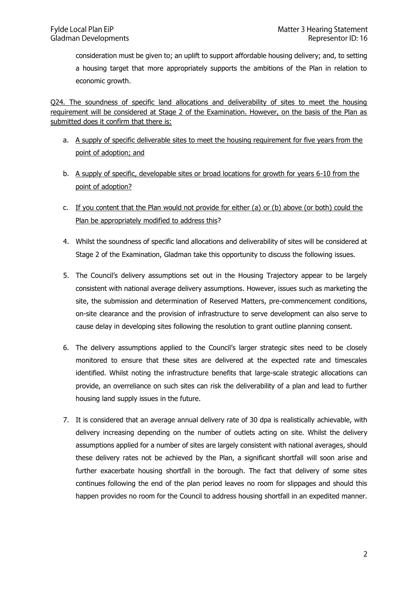consideration must be given to; an uplift to support affordable housing delivery; and, to setting a housing target that more appropriately supports the ambitions of the Plan in relation to economic growth.

Q24. The soundness of specific land allocations and deliverability of sites to meet the housing requirement will be considered at Stage 2 of the Examination. However, on the basis of the Plan as submitted does it confirm that there is:

- a. A supply of specific deliverable sites to meet the housing requirement for five years from the point of adoption; and
- b. A supply of specific, developable sites or broad locations for growth for years 6-10 from the point of adoption?
- c. If you content that the Plan would not provide for either (a) or (b) above (or both) could the Plan be appropriately modified to address this?
- 4. Whilst the soundness of specific land allocations and deliverability of sites will be considered at Stage 2 of the Examination, Gladman take this opportunity to discuss the following issues.
- 5. The Council's delivery assumptions set out in the Housing Trajectory appear to be largely consistent with national average delivery assumptions. However, issues such as marketing the site, the submission and determination of Reserved Matters, pre-commencement conditions, on-site clearance and the provision of infrastructure to serve development can also serve to cause delay in developing sites following the resolution to grant outline planning consent.
- 6. The delivery assumptions applied to the Council's larger strategic sites need to be closely monitored to ensure that these sites are delivered at the expected rate and timescales identified. Whilst noting the infrastructure benefits that large-scale strategic allocations can provide, an overreliance on such sites can risk the deliverability of a plan and lead to further housing land supply issues in the future.
- 7. It is considered that an average annual delivery rate of 30 dpa is realistically achievable, with delivery increasing depending on the number of outlets acting on site. Whilst the delivery assumptions applied for a number of sites are largely consistent with national averages, should these delivery rates not be achieved by the Plan, a significant shortfall will soon arise and further exacerbate housing shortfall in the borough. The fact that delivery of some sites continues following the end of the plan period leaves no room for slippages and should this happen provides no room for the Council to address housing shortfall in an expedited manner.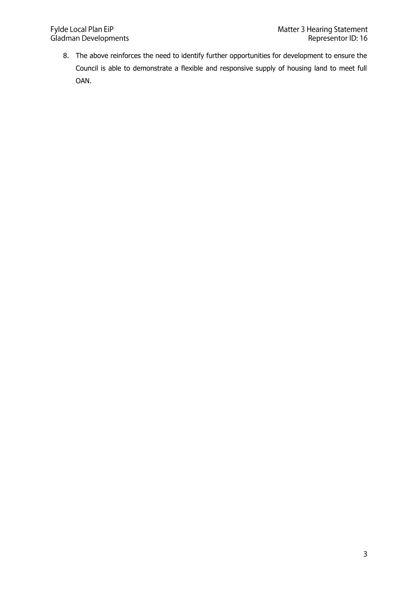8. The above reinforces the need to identify further opportunities for development to ensure the Council is able to demonstrate a flexible and responsive supply of housing land to meet full OAN.